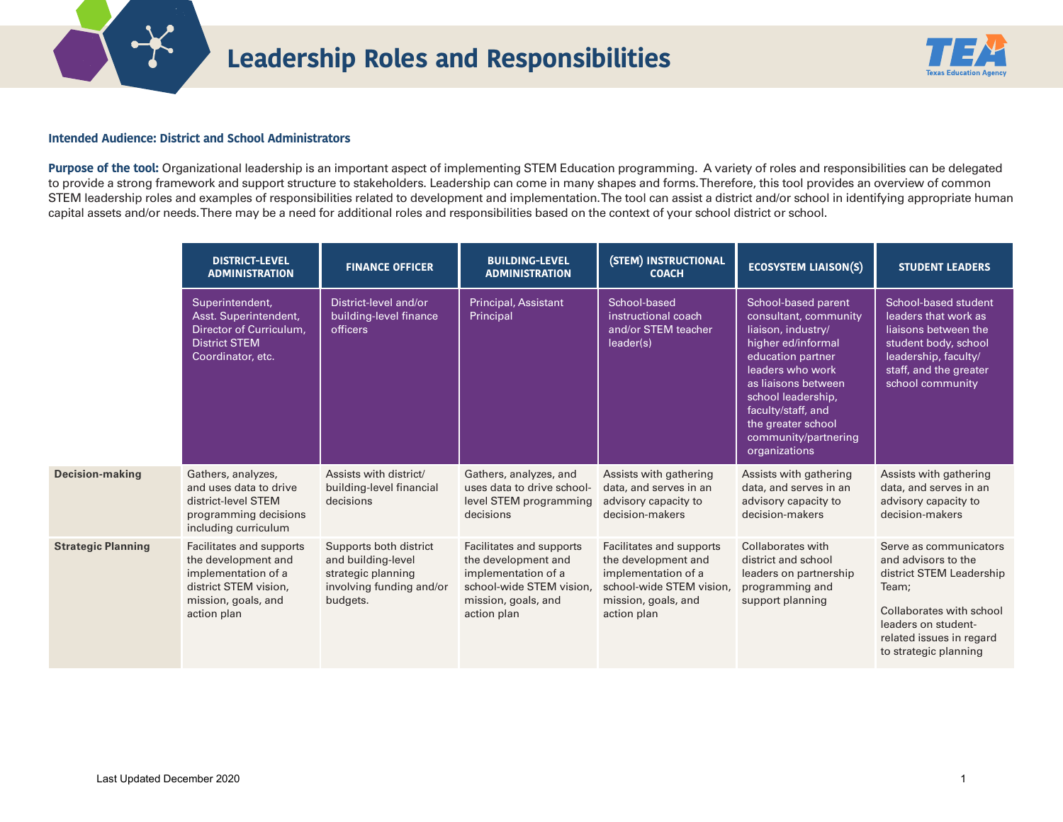

## **Leadership Roles and Responsibilities**



## **Intended Audience: District and School Administrators**

Purpose of the tool: Organizational leadership is an important aspect of implementing STEM Education programming. A variety of roles and responsibilities can be delegated to provide a strong framework and support structure to stakeholders. Leadership can come in many shapes and forms. Therefore, this tool provides an overview of common STEM leadership roles and examples of responsibilities related to development and implementation. The tool can assist a district and/or school in identifying appropriate human capital assets and/or needs. There may be a need for additional roles and responsibilities based on the context of your school district or school.

|                           | <b>DISTRICT-LEVEL</b><br><b>ADMINISTRATION</b>                                                                                        | <b>FINANCE OFFICER</b>                                                                                     | <b>BUILDING-LEVEL</b><br><b>ADMINISTRATION</b>                                                                                           | (STEM) INSTRUCTIONAL<br><b>COACH</b>                                                                                                     | <b>ECOSYSTEM LIAISON(S)</b>                                                                                                                                                                                                                                         | <b>STUDENT LEADERS</b>                                                                                                                                                                     |
|---------------------------|---------------------------------------------------------------------------------------------------------------------------------------|------------------------------------------------------------------------------------------------------------|------------------------------------------------------------------------------------------------------------------------------------------|------------------------------------------------------------------------------------------------------------------------------------------|---------------------------------------------------------------------------------------------------------------------------------------------------------------------------------------------------------------------------------------------------------------------|--------------------------------------------------------------------------------------------------------------------------------------------------------------------------------------------|
|                           | Superintendent,<br>Asst. Superintendent,<br>Director of Curriculum,<br><b>District STEM</b><br>Coordinator, etc.                      | District-level and/or<br>building-level finance<br>officers                                                | <b>Principal, Assistant</b><br>Principal                                                                                                 | School-based<br>instructional coach<br>and/or STEM teacher<br>leader(s)                                                                  | School-based parent<br>consultant, community<br>liaison, industry/<br>higher ed/informal<br>education partner<br>leaders who work<br>as liaisons between<br>school leadership,<br>faculty/staff, and<br>the greater school<br>community/partnering<br>organizations | School-based student<br>leaders that work as<br>liaisons between the<br>student body, school<br>leadership, faculty/<br>staff, and the greater<br>school community                         |
| <b>Decision-making</b>    | Gathers, analyzes,<br>and uses data to drive<br>district-level STEM<br>programming decisions<br>including curriculum                  | Assists with district/<br>building-level financial<br>decisions                                            | Gathers, analyzes, and<br>uses data to drive school-<br>level STEM programming<br>decisions                                              | Assists with gathering<br>data, and serves in an<br>advisory capacity to<br>decision-makers                                              | Assists with gathering<br>data, and serves in an<br>advisory capacity to<br>decision-makers                                                                                                                                                                         | Assists with gathering<br>data, and serves in an<br>advisory capacity to<br>decision-makers                                                                                                |
| <b>Strategic Planning</b> | Facilitates and supports<br>the development and<br>implementation of a<br>district STEM vision,<br>mission, goals, and<br>action plan | Supports both district<br>and building-level<br>strategic planning<br>involving funding and/or<br>budgets. | Facilitates and supports<br>the development and<br>implementation of a<br>school-wide STEM vision.<br>mission, goals, and<br>action plan | Facilitates and supports<br>the development and<br>implementation of a<br>school-wide STEM vision.<br>mission, goals, and<br>action plan | Collaborates with<br>district and school<br>leaders on partnership<br>programming and<br>support planning                                                                                                                                                           | Serve as communicators<br>and advisors to the<br>district STEM Leadership<br>Team;<br>Collaborates with school<br>leaders on student-<br>related issues in regard<br>to strategic planning |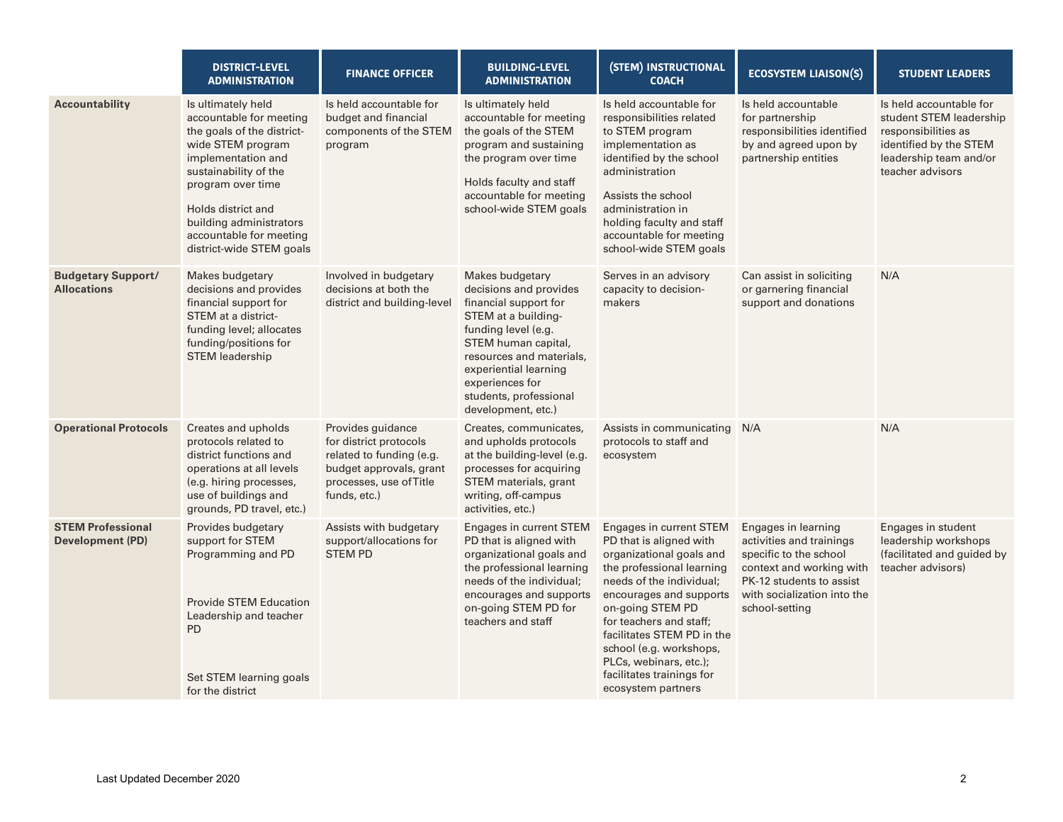|                                                     | <b>DISTRICT-LEVEL</b><br><b>ADMINISTRATION</b>                                                                                                                                                                                                                               | <b>FINANCE OFFICER</b>                                                                                                                        | <b>BUILDING-LEVEL</b><br><b>ADMINISTRATION</b>                                                                                                                                                                                                                  | (STEM) INSTRUCTIONAL<br><b>COACH</b>                                                                                                                                                                                                                                                                                                                    | <b>ECOSYSTEM LIAISON(S)</b>                                                                                                                                                        | <b>STUDENT LEADERS</b>                                                                                                                            |
|-----------------------------------------------------|------------------------------------------------------------------------------------------------------------------------------------------------------------------------------------------------------------------------------------------------------------------------------|-----------------------------------------------------------------------------------------------------------------------------------------------|-----------------------------------------------------------------------------------------------------------------------------------------------------------------------------------------------------------------------------------------------------------------|---------------------------------------------------------------------------------------------------------------------------------------------------------------------------------------------------------------------------------------------------------------------------------------------------------------------------------------------------------|------------------------------------------------------------------------------------------------------------------------------------------------------------------------------------|---------------------------------------------------------------------------------------------------------------------------------------------------|
| <b>Accountability</b>                               | Is ultimately held<br>accountable for meeting<br>the goals of the district-<br>wide STEM program<br>implementation and<br>sustainability of the<br>program over time<br>Holds district and<br>building administrators<br>accountable for meeting<br>district-wide STEM goals | Is held accountable for<br>budget and financial<br>components of the STEM<br>program                                                          | Is ultimately held<br>accountable for meeting<br>the goals of the STEM<br>program and sustaining<br>the program over time<br>Holds faculty and staff<br>accountable for meeting<br>school-wide STEM goals                                                       | Is held accountable for<br>responsibilities related<br>to STEM program<br>implementation as<br>identified by the school<br>administration<br>Assists the school<br>administration in<br>holding faculty and staff<br>accountable for meeting<br>school-wide STEM goals                                                                                  | Is held accountable<br>for partnership<br>responsibilities identified<br>by and agreed upon by<br>partnership entities                                                             | Is held accountable for<br>student STEM leadership<br>responsibilities as<br>identified by the STEM<br>leadership team and/or<br>teacher advisors |
| <b>Budgetary Support/</b><br><b>Allocations</b>     | Makes budgetary<br>decisions and provides<br>financial support for<br>STEM at a district-<br>funding level; allocates<br>funding/positions for<br><b>STEM leadership</b>                                                                                                     | Involved in budgetary<br>decisions at both the<br>district and building-level                                                                 | Makes budgetary<br>decisions and provides<br>financial support for<br>STEM at a building-<br>funding level (e.g.<br>STEM human capital,<br>resources and materials,<br>experiential learning<br>experiences for<br>students, professional<br>development, etc.) | Serves in an advisory<br>capacity to decision-<br>makers                                                                                                                                                                                                                                                                                                | Can assist in soliciting<br>or garnering financial<br>support and donations                                                                                                        | N/A                                                                                                                                               |
| <b>Operational Protocols</b>                        | Creates and upholds<br>protocols related to<br>district functions and<br>operations at all levels<br>(e.g. hiring processes,<br>use of buildings and<br>grounds, PD travel, etc.)                                                                                            | Provides guidance<br>for district protocols<br>related to funding (e.g.<br>budget approvals, grant<br>processes, use of Title<br>funds, etc.) | Creates, communicates,<br>and upholds protocols<br>at the building-level (e.g.<br>processes for acquiring<br>STEM materials, grant<br>writing, off-campus<br>activities, etc.)                                                                                  | Assists in communicating N/A<br>protocols to staff and<br>ecosystem                                                                                                                                                                                                                                                                                     |                                                                                                                                                                                    | N/A                                                                                                                                               |
| <b>STEM Professional</b><br><b>Development (PD)</b> | Provides budgetary<br>support for STEM<br>Programming and PD<br><b>Provide STEM Education</b><br>Leadership and teacher<br><b>PD</b><br>Set STEM learning goals<br>for the district                                                                                          | Assists with budgetary<br>support/allocations for<br><b>STEM PD</b>                                                                           | Engages in current STEM<br>PD that is aligned with<br>organizational goals and<br>the professional learning<br>needs of the individual;<br>encourages and supports<br>on-going STEM PD for<br>teachers and staff                                                | Engages in current STEM<br>PD that is aligned with<br>organizational goals and<br>the professional learning<br>needs of the individual;<br>encourages and supports<br>on-going STEM PD<br>for teachers and staff;<br>facilitates STEM PD in the<br>school (e.g. workshops,<br>PLCs, webinars, etc.);<br>facilitates trainings for<br>ecosystem partners | Engages in learning<br>activities and trainings<br>specific to the school<br>context and working with<br>PK-12 students to assist<br>with socialization into the<br>school-setting | Engages in student<br>leadership workshops<br>(facilitated and guided by<br>teacher advisors)                                                     |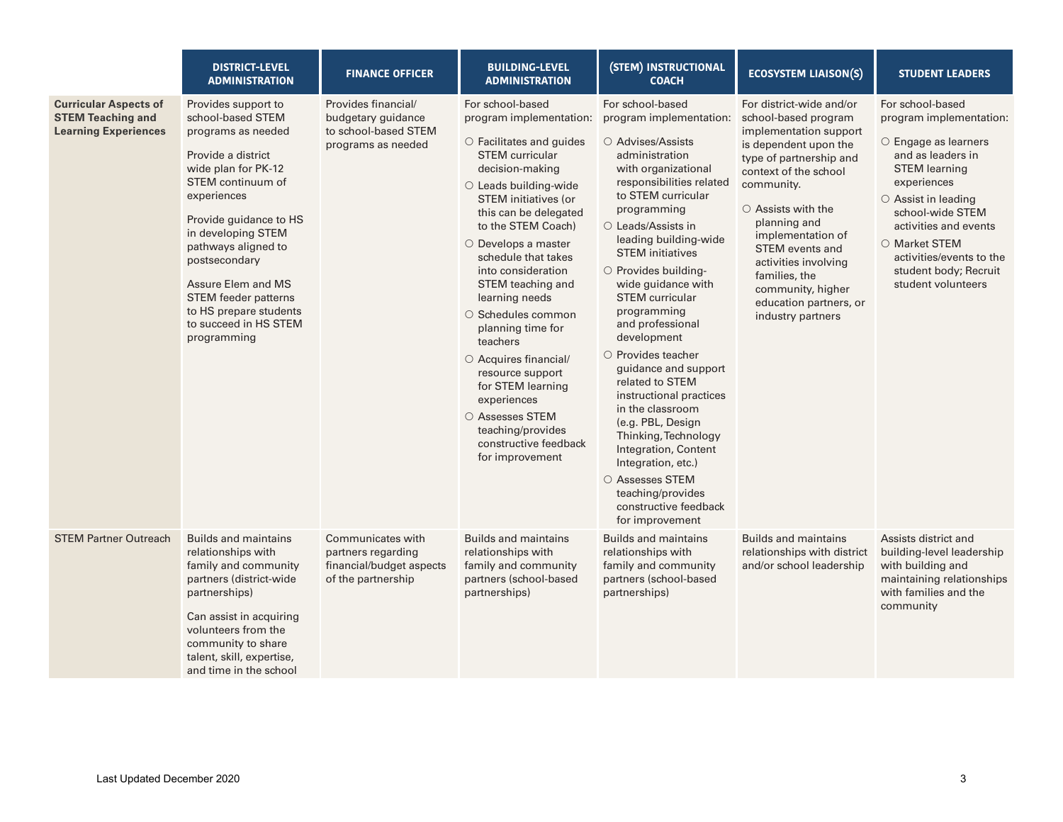|                                                                                         | <b>DISTRICT-LEVEL</b><br><b>ADMINISTRATION</b>                                                                                                                                                                                                                                                                                                                 | <b>FINANCE OFFICER</b>                                                                    | <b>BUILDING-LEVEL</b><br><b>ADMINISTRATION</b>                                                                                                                                                                                                                                                                                                                                                                                                                                                                                                                                       | (STEM) INSTRUCTIONAL<br><b>COACH</b>                                                                                                                                                                                                                                                                                                                                                                                                                                                                                                                                                                                                                                                | <b>ECOSYSTEM LIAISON(S)</b>                                                                                                                                                                                                                                                                                                                                                   | <b>STUDENT LEADERS</b>                                                                                                                                                                                                                                                                                |
|-----------------------------------------------------------------------------------------|----------------------------------------------------------------------------------------------------------------------------------------------------------------------------------------------------------------------------------------------------------------------------------------------------------------------------------------------------------------|-------------------------------------------------------------------------------------------|--------------------------------------------------------------------------------------------------------------------------------------------------------------------------------------------------------------------------------------------------------------------------------------------------------------------------------------------------------------------------------------------------------------------------------------------------------------------------------------------------------------------------------------------------------------------------------------|-------------------------------------------------------------------------------------------------------------------------------------------------------------------------------------------------------------------------------------------------------------------------------------------------------------------------------------------------------------------------------------------------------------------------------------------------------------------------------------------------------------------------------------------------------------------------------------------------------------------------------------------------------------------------------------|-------------------------------------------------------------------------------------------------------------------------------------------------------------------------------------------------------------------------------------------------------------------------------------------------------------------------------------------------------------------------------|-------------------------------------------------------------------------------------------------------------------------------------------------------------------------------------------------------------------------------------------------------------------------------------------------------|
| <b>Curricular Aspects of</b><br><b>STEM Teaching and</b><br><b>Learning Experiences</b> | Provides support to<br>school-based STEM<br>programs as needed<br>Provide a district<br>wide plan for PK-12<br>STEM continuum of<br>experiences<br>Provide guidance to HS<br>in developing STEM<br>pathways aligned to<br>postsecondary<br>Assure Elem and MS<br><b>STEM</b> feeder patterns<br>to HS prepare students<br>to succeed in HS STEM<br>programming | Provides financial/<br>budgetary guidance<br>to school-based STEM<br>programs as needed   | For school-based<br>program implementation:<br>$\circ$ Facilitates and quides<br><b>STEM</b> curricular<br>decision-making<br>○ Leads building-wide<br><b>STEM</b> initiatives (or<br>this can be delegated<br>to the STEM Coach)<br>$\circ$ Develops a master<br>schedule that takes<br>into consideration<br>STEM teaching and<br>learning needs<br>$\circ$ Schedules common<br>planning time for<br>teachers<br>O Acquires financial/<br>resource support<br>for STEM learning<br>experiences<br>○ Assesses STEM<br>teaching/provides<br>constructive feedback<br>for improvement | For school-based<br>program implementation:<br>○ Advises/Assists<br>administration<br>with organizational<br>responsibilities related<br>to STEM curricular<br>programming<br>○ Leads/Assists in<br>leading building-wide<br><b>STEM</b> initiatives<br>O Provides building-<br>wide guidance with<br><b>STEM</b> curricular<br>programming<br>and professional<br>development<br>$\circ$ Provides teacher<br>guidance and support<br>related to STEM<br>instructional practices<br>in the classroom<br>(e.g. PBL, Design<br>Thinking, Technology<br>Integration, Content<br>Integration, etc.)<br>○ Assesses STEM<br>teaching/provides<br>constructive feedback<br>for improvement | For district-wide and/or<br>school-based program<br>implementation support<br>is dependent upon the<br>type of partnership and<br>context of the school<br>community.<br>$\circ$ Assists with the<br>planning and<br>implementation of<br><b>STEM</b> events and<br>activities involving<br>families, the<br>community, higher<br>education partners, or<br>industry partners | For school-based<br>program implementation:<br>$\circ$ Engage as learners<br>and as leaders in<br><b>STEM</b> learning<br>experiences<br>○ Assist in leading<br>school-wide STEM<br>activities and events<br>○ Market STEM<br>activities/events to the<br>student body; Recruit<br>student volunteers |
| <b>STEM Partner Outreach</b>                                                            | <b>Builds and maintains</b><br>relationships with<br>family and community<br>partners (district-wide<br>partnerships)<br>Can assist in acquiring<br>volunteers from the<br>community to share<br>talent, skill, expertise,<br>and time in the school                                                                                                           | Communicates with<br>partners regarding<br>financial/budget aspects<br>of the partnership | <b>Builds and maintains</b><br>relationships with<br>family and community<br>partners (school-based<br>partnerships)                                                                                                                                                                                                                                                                                                                                                                                                                                                                 | <b>Builds and maintains</b><br>relationships with<br>family and community<br>partners (school-based<br>partnerships)                                                                                                                                                                                                                                                                                                                                                                                                                                                                                                                                                                | <b>Builds and maintains</b><br>relationships with district<br>and/or school leadership                                                                                                                                                                                                                                                                                        | Assists district and<br>building-level leadership<br>with building and<br>maintaining relationships<br>with families and the<br>community                                                                                                                                                             |